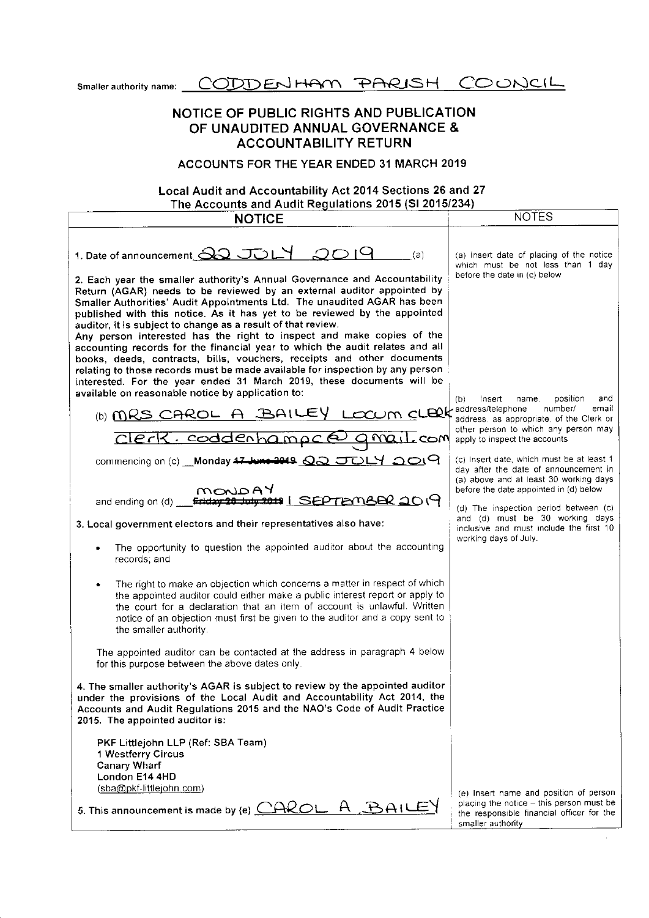Smaller authority name: CODDENHAM PARISH COONCIL

# NOTICE OF PUBLIC RIGHTS AND PUBLICATION OF UNAUDITED ANNUAL GOVERNANCE & ACCOUNTABILITY RETURN

### ACCOUNTS FOR THE YEAR ENDED 31 MARCH 2019

#### The Accounts and Audit Requlations 2015 (Sl 20151234 Local Audit and Accountability Act 2014 Sections 26 and 27

| The Accounts and Audit Regulations 2015 (SI 2015/234)                                                                                                                                                                                                                                                                                                                                                                                                                                                                                                                                                                                                                                                                                                                                                                                                                                                                                                                  |                                                                                                                                                                                                                                                                                                                                                                 |
|------------------------------------------------------------------------------------------------------------------------------------------------------------------------------------------------------------------------------------------------------------------------------------------------------------------------------------------------------------------------------------------------------------------------------------------------------------------------------------------------------------------------------------------------------------------------------------------------------------------------------------------------------------------------------------------------------------------------------------------------------------------------------------------------------------------------------------------------------------------------------------------------------------------------------------------------------------------------|-----------------------------------------------------------------------------------------------------------------------------------------------------------------------------------------------------------------------------------------------------------------------------------------------------------------------------------------------------------------|
| <b>NOTICE</b>                                                                                                                                                                                                                                                                                                                                                                                                                                                                                                                                                                                                                                                                                                                                                                                                                                                                                                                                                          |                                                                                                                                                                                                                                                                                                                                                                 |
| 1. Date of announcement 32 JULY 2019<br>(a)<br>2. Each year the smaller authority's Annual Governance and Accountability<br>Return (AGAR) needs to be reviewed by an external auditor appointed by<br>Smaller Authorities' Audit Appointments Ltd. The unaudited AGAR has been<br>published with this notice. As it has yet to be reviewed by the appointed<br>auditor, it is subject to change as a result of that review.<br>Any person interested has the right to inspect and make copies of the<br>accounting records for the financial year to which the audit relates and all<br>books, deeds, contracts, bills, vouchers, receipts and other documents<br>relating to those records must be made available for inspection by any person<br>interested. For the year ended 31 March 2019, these documents will be<br>available on reasonable notice by application to:<br>(b) MRS CAROL A BAILEY LOCUM CLERK address/telephone<br>Clerk. codderhampc@ qmail.com | <b>NOTES</b><br>(a) Insert date of placing of the notice<br>which must be not less than 1 day<br>before the date in (c) below<br>position<br>Insen<br>and<br>(b)<br>name,<br>number/<br>email<br>address, as appropriate, of the Clerk or<br>other person to which any person may<br>apply to inspect the accounts<br>(c) Insert date, which must be at least 1 |
| commencing on (c) Monday 47 June 2019 00 JULY 0019<br>MONDAY<br>and ending on (d) Friday 28 July 2019   SEPTEMBER 2019<br>3. Local government electors and their representatives also have:<br>The opportunity to question the appointed auditor about the accounting<br>records; and<br>The right to make an objection which concerns a matter in respect of which                                                                                                                                                                                                                                                                                                                                                                                                                                                                                                                                                                                                    | day after the date of announcement in<br>(a) above and at least 30 working days<br>before the date appointed in (d) below<br>(d) The inspection period between (c)<br>and (d) must be 30 working days<br>inclusive and must include the first 10<br>working days of July.                                                                                       |
| the appointed auditor could either make a public interest report or apply to<br>the court for a declaration that an item of account is unlawful. Written<br>notice of an objection must first be given to the auditor and a copy sent to<br>the smaller authority.<br>The appointed auditor can be contacted at the address in paragraph 4 below<br>for this purpose between the above dates only.<br>4. The smaller authority's AGAR is subject to review by the appointed auditor<br>under the provisions of the Local Audit and Accountability Act 2014, the<br>Accounts and Audit Regulations 2015 and the NAO's Code of Audit Practice<br>2015. The appointed auditor is:<br>PKF Littlejohn LLP (Ref: SBA Team)<br>1 Westferry Circus<br><b>Canary Wharf</b>                                                                                                                                                                                                      |                                                                                                                                                                                                                                                                                                                                                                 |
| London E14 4HD<br>(sba@pkf-littlejohn.com)<br>5. This announcement is made by (e) $CACOL$ A $BAUEY$                                                                                                                                                                                                                                                                                                                                                                                                                                                                                                                                                                                                                                                                                                                                                                                                                                                                    | (e) Insert name and position of person<br>placing the notice - this person must be<br>the responsible financial officer for the<br>smaller authority                                                                                                                                                                                                            |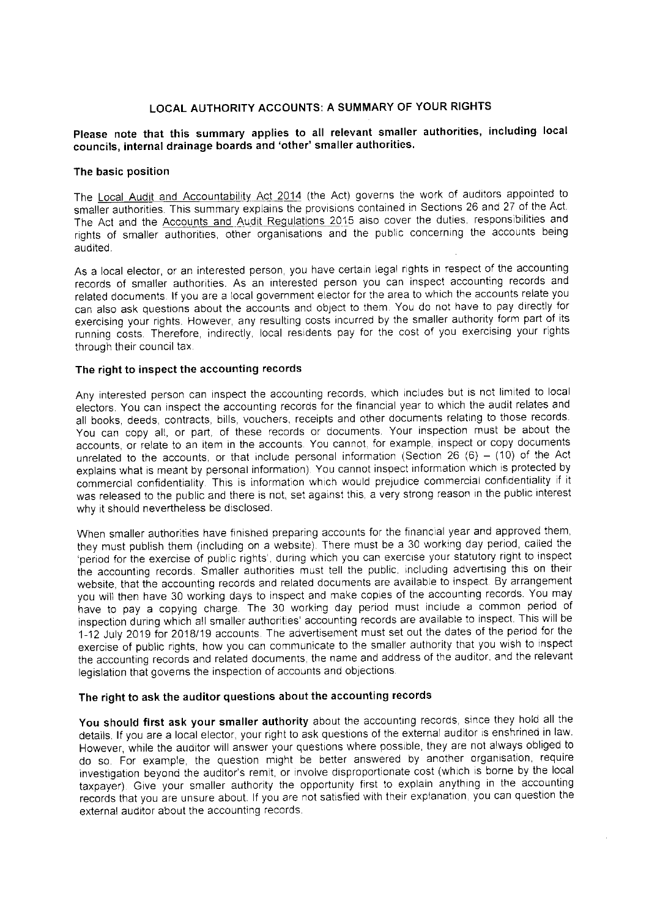## LOCAL AUTHORITY ACcOUNTS: A SUMMARY oF YOUR RIGHTS

### Please note that this summary applies to all relevant smaller authorities, including local councils, internal drainage boards and 'other'smaller authorities.

#### The basic position

The Local Audit and Accountability Act 2014 (the Act) governs the work of auditors appointed to smaller authorities. This summary explains the provisions contained in Sections 26 and 27 of the Act. The Act and the Accounts and Audit Regulations 2015 also cover the duties, responsibilities and rights of smaller authorities, other organisations and the publlc concerning the accounts being audited.

As a local elector, or an interested person, you have certain legal rights in respect of the accounting records of smaller authorities. As an interested person you can inspect accounting records and related documents lf you are a local governmeni elector for the area to which the accounts relate you can also ask questions about the accounts and object to them. You do not have to pay directly for exercising your rights. However, any resulting costs incurred by the smaller authority form part of its running costs. Therefore, indirectly, local residents pay for the cost of you exercising your rights through their council tax.

#### The right to inspect the accounting records

Any interested person can inspect the accounting records. which includes but is not limted to local electors. You can inspect the accounting records for the financial year to which the audit relates and all books, deeds, contracts, bills, vouchers, receipts and other documents relating to those records You can copy all, or part, of these records or documents. Your inspection must be about the accounts, or relate to an item in the accounts. You cannot, for example, inspect or copy documents unrelated to the accounts, or that include personal information (Section 26  $(6) - (10)$  of the Act explains what is meant by personal information). You cannot inspect information which is protected by commercial confidentiality. This is information which would prejudice commercial confidentiality if it was released to the public and there is not, set against this, a very strong reason in the public interest why it should nevertheless be disclosed.

When smaller authorities have finished preparing accounts for the financial year and approved them, they must publish them (including on a website). There must be a 30 working day period, called the 'period for the exercise of public rights', during which you can exercise your statutory right to inspect the accounting records. Smaller authorities must tell the public, including advertising this on their website, that the accounting records and related documents are available to inspect. By arrangement you will then have 30 working days to inspect and make copies of the accounting records. You may have to pay a copying charge. The 30 working day period must include a common period of inspection during which all smaller authorities' accounting records are available to inspect. This will be 1-12 July 2019 for 2018/19 accounts. The advertisement must set out the dates of the period for the exercise of public rights, how you can communicate to the smaller authority that you wish to inspect the accounting records and related documents, the name and address of the auditor, and the relevant legislation that governs the inspection of accounts and objections.

# The right to ask the auditor questions about the accounting records

You should first ask your smaller authority about the accounting records, since they hold all the details. lf you are a local elector, your right to ask questions of the external auditor is enshrined in law However, while the auditor will answer your questions where possible, they are not always obliged t0 do so. For example, the question might be better answered by another organisation, require investigation beyond the auditor's remit, or involve disproportionate cost (which is borne by the local taxpayer). Give your smaller authority the opportunity first to explain anything in the accounting records that you are unsure about. lf you are not satisfied with their expianation you can question the external auditor about the accounting records.